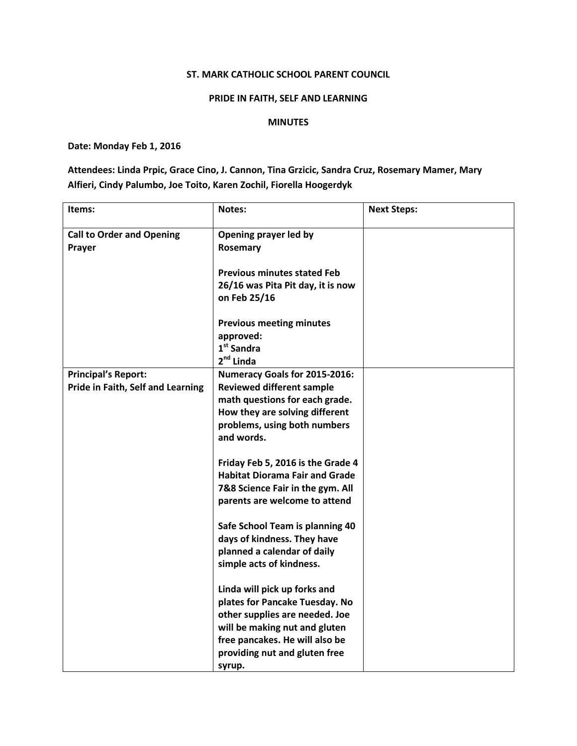## ST. MARK CATHOLIC SCHOOL PARENT COUNCIL

## PRIDE IN FAITH, SELF AND LEARNING

## MINUTES

## Date: Monday Feb 1, 2016

Attendees: Linda Prpic, Grace Cino, J. Cannon, Tina Grzicic, Sandra Cruz, Rosemary Mamer, Mary Alfieri, Cindy Palumbo, Joe Toito, Karen Zochil, Fiorella Hoogerdyk

| Items:                                                          | Notes:                                                                                                                                                                                                         | <b>Next Steps:</b> |
|-----------------------------------------------------------------|----------------------------------------------------------------------------------------------------------------------------------------------------------------------------------------------------------------|--------------------|
| <b>Call to Order and Opening</b><br>Prayer                      | Opening prayer led by<br>Rosemary                                                                                                                                                                              |                    |
|                                                                 | <b>Previous minutes stated Feb</b><br>26/16 was Pita Pit day, it is now<br>on Feb 25/16                                                                                                                        |                    |
|                                                                 | <b>Previous meeting minutes</b><br>approved:<br>$1st$ Sandra<br>$2nd$ Linda                                                                                                                                    |                    |
| <b>Principal's Report:</b><br>Pride in Faith, Self and Learning | Numeracy Goals for 2015-2016:<br><b>Reviewed different sample</b><br>math questions for each grade.<br>How they are solving different<br>problems, using both numbers<br>and words.                            |                    |
|                                                                 | Friday Feb 5, 2016 is the Grade 4<br><b>Habitat Diorama Fair and Grade</b><br>7&8 Science Fair in the gym. All<br>parents are welcome to attend                                                                |                    |
|                                                                 | Safe School Team is planning 40<br>days of kindness. They have<br>planned a calendar of daily<br>simple acts of kindness.                                                                                      |                    |
|                                                                 | Linda will pick up forks and<br>plates for Pancake Tuesday. No<br>other supplies are needed. Joe<br>will be making nut and gluten<br>free pancakes. He will also be<br>providing nut and gluten free<br>syrup. |                    |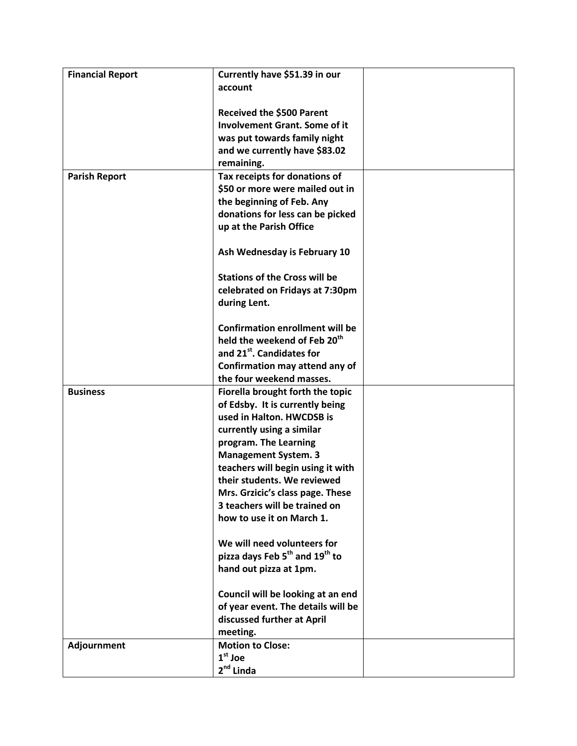| <b>Financial Report</b> | Currently have \$51.39 in our                                           |  |
|-------------------------|-------------------------------------------------------------------------|--|
|                         | account                                                                 |  |
|                         |                                                                         |  |
|                         | <b>Received the \$500 Parent</b>                                        |  |
|                         | <b>Involvement Grant. Some of it</b>                                    |  |
|                         | was put towards family night                                            |  |
|                         | and we currently have \$83.02                                           |  |
|                         | remaining.                                                              |  |
| <b>Parish Report</b>    | Tax receipts for donations of                                           |  |
|                         | \$50 or more were mailed out in                                         |  |
|                         | the beginning of Feb. Any                                               |  |
|                         | donations for less can be picked                                        |  |
|                         | up at the Parish Office                                                 |  |
|                         |                                                                         |  |
|                         | Ash Wednesday is February 10                                            |  |
|                         |                                                                         |  |
|                         | <b>Stations of the Cross will be</b>                                    |  |
|                         | celebrated on Fridays at 7:30pm                                         |  |
|                         | during Lent.                                                            |  |
|                         |                                                                         |  |
|                         | <b>Confirmation enrollment will be</b>                                  |  |
|                         | held the weekend of Feb 20 <sup>th</sup>                                |  |
|                         | and 21 <sup>st</sup> . Candidates for                                   |  |
|                         | Confirmation may attend any of                                          |  |
|                         | the four weekend masses.                                                |  |
| <b>Business</b>         | Fiorella brought forth the topic                                        |  |
|                         | of Edsby. It is currently being                                         |  |
|                         | used in Halton. HWCDSB is                                               |  |
|                         | currently using a similar                                               |  |
|                         | program. The Learning                                                   |  |
|                         | <b>Management System. 3</b>                                             |  |
|                         | teachers will begin using it with                                       |  |
|                         | their students. We reviewed                                             |  |
|                         |                                                                         |  |
|                         | Mrs. Grzicic's class page. These<br>3 teachers will be trained on       |  |
|                         |                                                                         |  |
|                         | how to use it on March 1.                                               |  |
|                         | We will need volunteers for                                             |  |
|                         | pizza days Feb 5 <sup>th</sup> and 19 <sup>th</sup> to                  |  |
|                         | hand out pizza at 1pm.                                                  |  |
|                         |                                                                         |  |
|                         |                                                                         |  |
|                         | Council will be looking at an end<br>of year event. The details will be |  |
|                         |                                                                         |  |
|                         | discussed further at April                                              |  |
|                         | meeting.                                                                |  |
| Adjournment             | <b>Motion to Close:</b><br>$1st$ Joe                                    |  |
|                         |                                                                         |  |
|                         | $2^{nd}$ Linda                                                          |  |